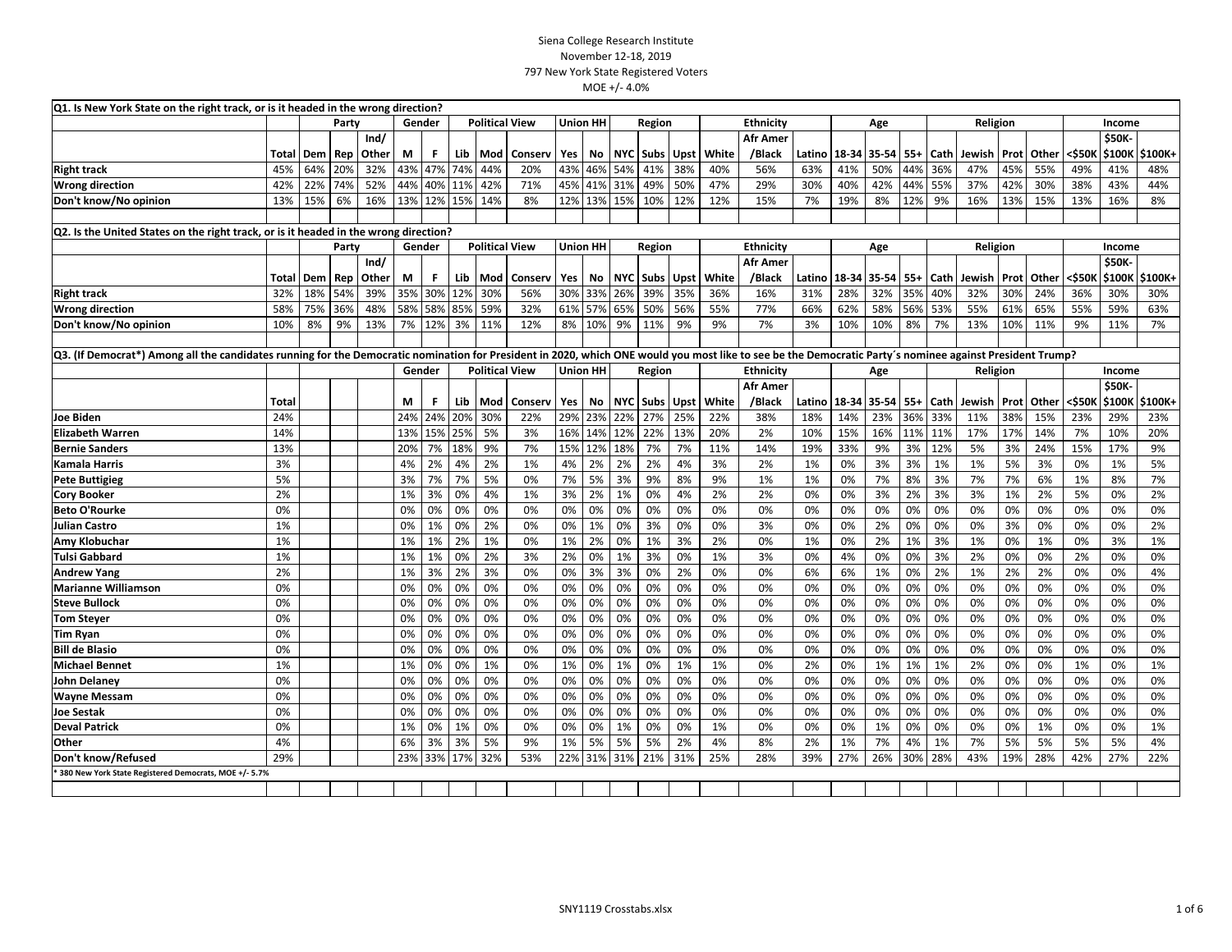| Q1. Is New York State on the right track, or is it headed in the wrong direction?                                                                                                                        |       |                 |       |       |        |        |         |                       |                       |                 |                 |        |          |             |       |                  |        |                |       |       |      |          |      |              |        |               |         |
|----------------------------------------------------------------------------------------------------------------------------------------------------------------------------------------------------------|-------|-----------------|-------|-------|--------|--------|---------|-----------------------|-----------------------|-----------------|-----------------|--------|----------|-------------|-------|------------------|--------|----------------|-------|-------|------|----------|------|--------------|--------|---------------|---------|
|                                                                                                                                                                                                          |       | Party<br>Gender |       |       |        |        |         | <b>Political View</b> |                       |                 | <b>Union HH</b> |        | Region   |             |       | <b>Ethnicity</b> |        |                | Age   |       |      | Religion |      |              |        | Income        |         |
|                                                                                                                                                                                                          |       |                 |       | Ind/  |        |        |         |                       |                       |                 |                 |        |          |             |       | <b>Afr Amer</b>  |        |                |       |       |      |          |      |              |        | \$50K         |         |
|                                                                                                                                                                                                          | Total | Dem             | Rep   | Other | М      | F.     | Lib     | Mod                   | Conserv               | Yes             | No              |        | NYC Subs | Upst        | White | /Black           | Latino | 18-34          | 35-54 | $55+$ | Cath | Jewish   | Prot | Other        | <\$50K | \$100K        | \$100K+ |
| <b>Right track</b>                                                                                                                                                                                       | 45%   | 64%             | 20%   | 32%   | 43%    | 47%    | 74%     | 44%                   | 20%                   | 43%             | 46%             | 54%    | 41%      | 38%         | 40%   | 56%              | 63%    | 41%            | 50%   | 44%   | 36%  | 47%      | 45%  | 55%          | 49%    | 41%           | 48%     |
| <b>Wrong direction</b>                                                                                                                                                                                   | 42%   | 22%             | 74%   | 52%   | 44%    | 40%    | 11%     | 42%                   | 71%                   | 45%             | 41%             | 31%    | 49%      | 50%         | 47%   | 29%              | 30%    | 40%            | 42%   | 44%   | 55%  | 37%      | 42%  | 30%          | 38%    | 43%           | 44%     |
| Don't know/No opinion                                                                                                                                                                                    | 13%   | 15%             | 6%    | 16%   | 13%    |        | 12% 15% | 14%                   | 8%                    | 12%             | 13%             | 15%    | 10%      | 12%         | 12%   | 15%              | 7%     | 19%            | 8%    | 12%   | 9%   | 16%      | 13%  | 15%          | 13%    | 16%           | 8%      |
|                                                                                                                                                                                                          |       |                 |       |       |        |        |         |                       |                       |                 |                 |        |          |             |       |                  |        |                |       |       |      |          |      |              |        |               |         |
| Q2. Is the United States on the right track, or is it headed in the wrong direction?                                                                                                                     |       |                 |       |       |        |        |         |                       |                       |                 |                 |        |          |             |       |                  |        |                |       |       |      |          |      |              |        |               |         |
|                                                                                                                                                                                                          |       |                 | Party |       |        | Gender |         |                       | <b>Political View</b> |                 | Union HH        |        | Region   |             |       | <b>Ethnicity</b> |        |                | Age   |       |      | Religion |      |              |        | Income        |         |
|                                                                                                                                                                                                          |       |                 |       | Ind/  |        |        |         |                       |                       |                 |                 |        |          |             |       | <b>Afr Amer</b>  |        |                |       |       |      |          |      |              |        | <b>\$50K-</b> |         |
|                                                                                                                                                                                                          | Total | Dem             | Rep   | Other | М      | F.     | Lib     | Mod                   | Conserv               | Yes             | No              |        | NYC Subs | Upst        | White | /Black           | Latino | 18-34          | 35-54 | $55+$ | Cath | Jewish   | Prot | Other        | <\$50K | \$100K        | \$100K+ |
| <b>Right track</b>                                                                                                                                                                                       | 32%   | 18%             | 54%   | 39%   | 35%    | 30%    | 12%     | 30%                   | 56%                   | 30%             | 33%             | 26%    | 39%      | 35%         | 36%   | 16%              | 31%    | 28%            | 32%   | 35%   | 40%  | 32%      | 30%  | 24%          | 36%    | 30%           | 30%     |
| <b>Wrong direction</b>                                                                                                                                                                                   | 58%   | 75%             | 36%   | 48%   | 58%    | 58%    | 85%     | 59%                   | 32%                   | 61%             | 57%             | 65%    | 50%      | 56%         | 55%   | 77%              | 66%    | 62%            | 58%   | 56%   | 53%  | 55%      | 61%  | 65%          | 55%    | 59%           | 63%     |
| Don't know/No opinion                                                                                                                                                                                    | 10%   | 8%              | 9%    | 13%   | 7%     | 12%    | 3%      | 11%                   | 12%                   | 8%              | 10%             | 9%     | 11%      | 9%          | 9%    | 7%               | 3%     | 10%            | 10%   | 8%    | 7%   | 13%      | 10%  | 11%          | 9%     | 11%           | 7%      |
|                                                                                                                                                                                                          |       |                 |       |       |        |        |         |                       |                       |                 |                 |        |          |             |       |                  |        |                |       |       |      |          |      |              |        |               |         |
| Q3. (If Democrat*) Among all the candidates running for the Democratic nomination for President in 2020, which ONE would you most like to see be the Democratic Party's nominee against President Trump? |       |                 |       |       |        |        |         |                       |                       |                 |                 |        |          |             |       |                  |        |                |       |       |      |          |      |              |        |               |         |
|                                                                                                                                                                                                          |       |                 |       |       | Gender |        |         | <b>Political View</b> |                       | <b>Union HH</b> |                 | Region |          |             |       | Ethnicity        |        |                | Age   |       |      | Religion |      |              |        | Income        |         |
|                                                                                                                                                                                                          |       |                 |       |       |        |        |         |                       |                       |                 |                 |        |          |             |       | <b>Afr Amer</b>  |        |                |       |       |      |          |      |              |        | \$50K         |         |
|                                                                                                                                                                                                          | Total |                 |       |       | М      | F.     | Lib     | Mod                   | Conserv               | Yes             | No              |        | NYC Subs | <b>Upst</b> | White | /Black           |        | Latino   18-34 | 35-54 | $55+$ | Cath | Jewish   | Prot | <b>Other</b> | <\$50K | \$100K        | \$100K+ |
| <b>Joe Biden</b>                                                                                                                                                                                         | 24%   |                 |       |       | 24%    | 24%    | 20%     | 30%                   | 22%                   | 29%             | 23%             | 22%    | 27%      | 25%         | 22%   | 38%              | 18%    | 14%            | 23%   | 36%   | 33%  | 11%      | 38%  | 15%          | 23%    | 29%           | 23%     |
| <b>Elizabeth Warren</b>                                                                                                                                                                                  | 14%   |                 |       |       | 13%    | 15%    | 25%     | 5%                    | 3%                    | 16%             | 14%             | 12%    | 22%      | 13%         | 20%   | 2%               | 10%    | 15%            | 16%   | 11%   | 11%  | 17%      | 17%  | 14%          | 7%     | 10%           | 20%     |
| <b>Bernie Sanders</b>                                                                                                                                                                                    | 13%   |                 |       |       | 20%    | 7%     | 18%     | 9%                    | 7%                    | 15%             | 12%             | 18%    | 7%       | 7%          | 11%   | 14%              | 19%    | 33%            | 9%    | 3%    | 12%  | 5%       | 3%   | 24%          | 15%    | 17%           | 9%      |
| <b>Kamala Harris</b>                                                                                                                                                                                     | 3%    |                 |       |       | 4%     | 2%     | 4%      | 2%                    | 1%                    | 4%              | 2%              | 2%     | 2%       | 4%          | 3%    | 2%               | 1%     | 0%             | 3%    | 3%    | 1%   | 1%       | 5%   | 3%           | 0%     | 1%            | 5%      |
| <b>Pete Buttigieg</b>                                                                                                                                                                                    | 5%    |                 |       |       | 3%     | 7%     | 7%      | 5%                    | 0%                    | 7%              | 5%              | 3%     | 9%       | 8%          | 9%    | 1%               | 1%     | 0%             | 7%    | 8%    | 3%   | 7%       | 7%   | 6%           | 1%     | 8%            | 7%      |
| <b>Cory Booker</b>                                                                                                                                                                                       | 2%    |                 |       |       | 1%     | 3%     | 0%      | 4%                    | 1%                    | 3%              | 2%              | 1%     | 0%       | 4%          | 2%    | 2%               | 0%     | 0%             | 3%    | 2%    | 3%   | 3%       | 1%   | 2%           | 5%     | 0%            | 2%      |
| <b>Beto O'Rourke</b>                                                                                                                                                                                     | 0%    |                 |       |       | 0%     | 0%     | 0%      | 0%                    | 0%                    | 0%              | 0%              | 0%     | 0%       | 0%          | 0%    | 0%               | 0%     | 0%             | 0%    | 0%    | 0%   | 0%       | 0%   | 0%           | 0%     | 0%            | 0%      |
| Julian Castro                                                                                                                                                                                            | 1%    |                 |       |       | 0%     | 1%     | 0%      | 2%                    | 0%                    | 0%              | 1%              | 0%     | 3%       | 0%          | 0%    | 3%               | 0%     | 0%             | 2%    | 0%    | 0%   | 0%       | 3%   | 0%           | 0%     | 0%            | 2%      |
| Amy Klobuchar                                                                                                                                                                                            | 1%    |                 |       |       | 1%     | 1%     | 2%      | 1%                    | 0%                    | 1%              | 2%              | 0%     | 1%       | 3%          | 2%    | 0%               | 1%     | 0%             | 2%    | 1%    | 3%   | 1%       | 0%   | 1%           | 0%     | 3%            | 1%      |
| <b>Tulsi Gabbard</b>                                                                                                                                                                                     | 1%    |                 |       |       | 1%     | 1%     | 0%      | 2%                    | 3%                    | 2%              | 0%              | 1%     | 3%       | 0%          | 1%    | 3%               | 0%     | 4%             | 0%    | 0%    | 3%   | 2%       | 0%   | 0%           | 2%     | 0%            | 0%      |
| <b>Andrew Yang</b>                                                                                                                                                                                       | 2%    |                 |       |       | 1%     | 3%     | 2%      | 3%                    | 0%                    | 0%              | 3%              | 3%     | 0%       | 2%          | 0%    | 0%               | 6%     | 6%             | 1%    | 0%    | 2%   | 1%       | 2%   | 2%           | 0%     | 0%            | 4%      |
| <b>Marianne Williamson</b>                                                                                                                                                                               | 0%    |                 |       |       | 0%     | 0%     | 0%      | 0%                    | 0%                    | 0%              | 0%              | 0%     | 0%       | 0%          | 0%    | 0%               | 0%     | 0%             | 0%    | 0%    | 0%   | 0%       | 0%   | 0%           | 0%     | 0%            | 0%      |
| <b>Steve Bullock</b>                                                                                                                                                                                     | 0%    |                 |       |       | 0%     | 0%     | 0%      | 0%                    | 0%                    | 0%              | 0%              | 0%     | 0%       | 0%          | 0%    | 0%               | 0%     | 0%             | 0%    | 0%    | 0%   | 0%       | 0%   | 0%           | 0%     | 0%            | 0%      |
| <b>Tom Steyer</b>                                                                                                                                                                                        | 0%    |                 |       |       | 0%     | 0%     | 0%      | 0%                    | 0%                    | 0%              | 0%              | 0%     | 0%       | 0%          | 0%    | 0%               | 0%     | 0%             | 0%    | 0%    | 0%   | 0%       | 0%   | 0%           | 0%     | 0%            | 0%      |
| <b>Tim Ryan</b>                                                                                                                                                                                          | 0%    |                 |       |       | 0%     | 0%     | 0%      | 0%                    | 0%                    | 0%              | 0%              | 0%     | 0%       | 0%          | 0%    | 0%               | 0%     | 0%             | 0%    | 0%    | 0%   | 0%       | 0%   | 0%           | 0%     | 0%            | 0%      |
| <b>Bill de Blasio</b>                                                                                                                                                                                    | 0%    |                 |       |       | 0%     | 0%     | 0%      | 0%                    | 0%                    | 0%              | 0%              | 0%     | 0%       | 0%          | 0%    | 0%               | 0%     | 0%             | 0%    | 0%    | 0%   | 0%       | 0%   | 0%           | 0%     | 0%            | 0%      |
| <b>Michael Bennet</b>                                                                                                                                                                                    | 1%    |                 |       |       | 1%     | 0%     | 0%      | 1%                    | 0%                    | 1%              | 0%              | 1%     | 0%       | 1%          | 1%    | 0%               | 2%     | 0%             | 1%    | 1%    | 1%   | 2%       | 0%   | 0%           | 1%     | 0%            | 1%      |
| <b>John Delaney</b>                                                                                                                                                                                      | 0%    |                 |       |       | 0%     | 0%     | 0%      | 0%                    | 0%                    | 0%              | 0%              | 0%     | 0%       | 0%          | 0%    | 0%               | 0%     | 0%             | 0%    | 0%    | 0%   | 0%       | 0%   | 0%           | 0%     | 0%            | 0%      |
| <b>Wayne Messam</b>                                                                                                                                                                                      | 0%    |                 |       |       | 0%     | 0%     | 0%      | 0%                    | 0%                    | 0%              | 0%              | 0%     | 0%       | 0%          | 0%    | 0%               | 0%     | 0%             | 0%    | 0%    | 0%   | 0%       | 0%   | 0%           | 0%     | 0%            | 0%      |
| Joe Sestak                                                                                                                                                                                               | 0%    |                 |       |       | 0%     | 0%     | 0%      | 0%                    | 0%                    | 0%              | 0%              | 0%     | 0%       | 0%          | 0%    | 0%               | 0%     | 0%             | 0%    | 0%    | 0%   | 0%       | 0%   | 0%           | 0%     | 0%            | 0%      |
| <b>Deval Patrick</b>                                                                                                                                                                                     | 0%    |                 |       |       | 1%     | 0%     | 1%      | 0%                    | 0%                    | 0%              | 0%              | 1%     | 0%       | 0%          | 1%    | 0%               | 0%     | 0%             | 1%    | 0%    | 0%   | 0%       | 0%   | 1%           | 0%     | 0%            | 1%      |
| Other                                                                                                                                                                                                    | 4%    |                 |       |       | 6%     | 3%     | 3%      | 5%                    | 9%                    | 1%              | 5%              | 5%     | 5%       | 2%          | 4%    | 8%               | 2%     | 1%             | 7%    | 4%    | 1%   | 7%       | 5%   | 5%           | 5%     | 5%            | 4%      |
| Don't know/Refused                                                                                                                                                                                       | 29%   |                 |       |       | 23%    | 33%    | 17%     | 32%                   | 53%                   | 22%             | 31%             | 31%    | 21%      | 31%         | 25%   | 28%              | 39%    | 27%            | 26%   | 30%   | 28%  | 43%      | 19%  | 28%          | 42%    | 27%           | 22%     |
| * 380 New York State Registered Democrats, MOE +/- 5.7%                                                                                                                                                  |       |                 |       |       |        |        |         |                       |                       |                 |                 |        |          |             |       |                  |        |                |       |       |      |          |      |              |        |               |         |
|                                                                                                                                                                                                          |       |                 |       |       |        |        |         |                       |                       |                 |                 |        |          |             |       |                  |        |                |       |       |      |          |      |              |        |               |         |
|                                                                                                                                                                                                          |       |                 |       |       |        |        |         |                       |                       |                 |                 |        |          |             |       |                  |        |                |       |       |      |          |      |              |        |               |         |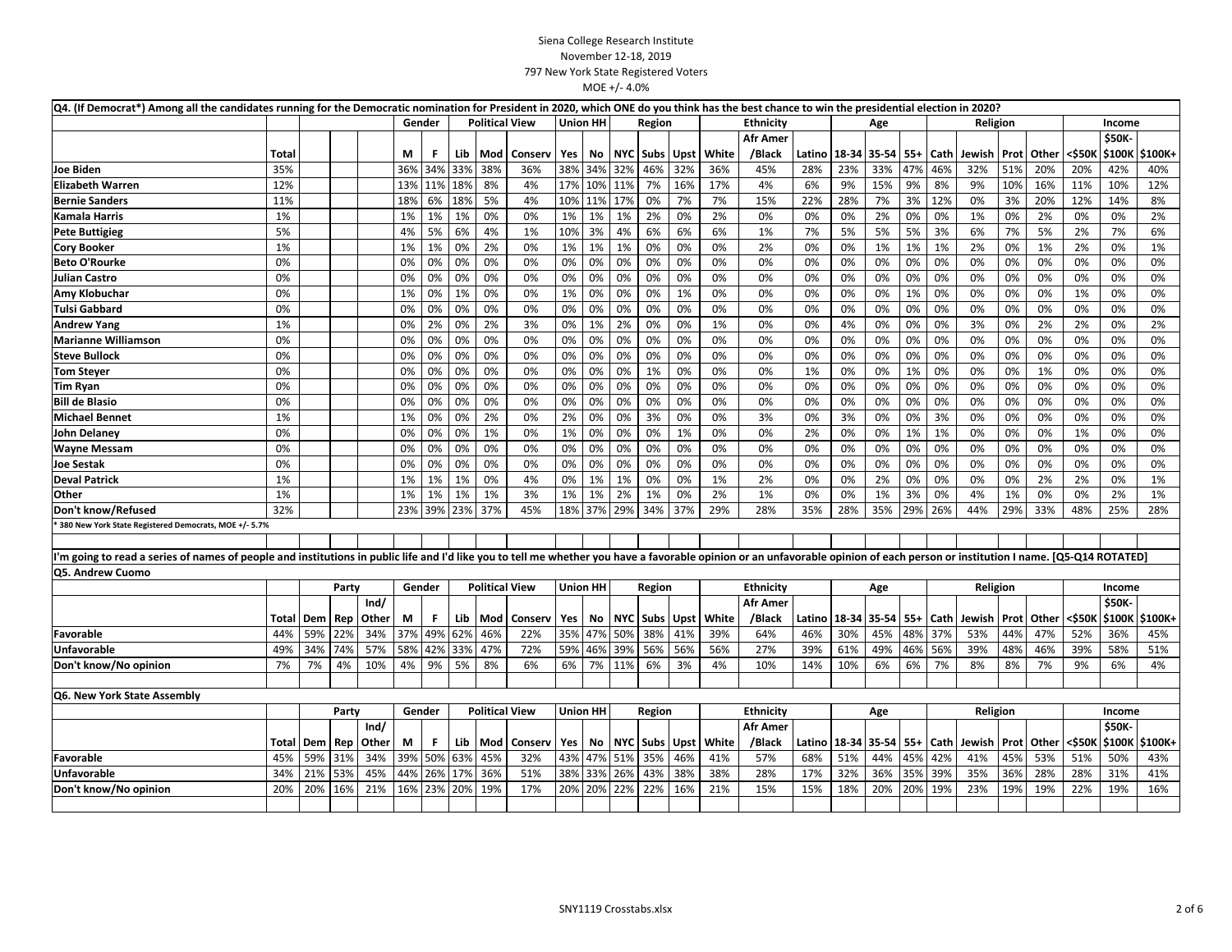|                                                                                                                                                                                                                                | Q4. (If Democrat*) Among all the candidates running for the Democratic nomination for President in 2020, which ONE do you think has the best chance to win the presidential election in 2020? |             |       |       |        |     |     |     |                       |       |                 |         |               |      |       |                  |        |       |                        |       |      |                       |             |              |        |        |         |
|--------------------------------------------------------------------------------------------------------------------------------------------------------------------------------------------------------------------------------|-----------------------------------------------------------------------------------------------------------------------------------------------------------------------------------------------|-------------|-------|-------|--------|-----|-----|-----|-----------------------|-------|-----------------|---------|---------------|------|-------|------------------|--------|-------|------------------------|-------|------|-----------------------|-------------|--------------|--------|--------|---------|
|                                                                                                                                                                                                                                |                                                                                                                                                                                               |             |       |       | Gender |     |     |     | <b>Political View</b> |       | <b>Union HH</b> | Region  |               |      |       | Ethnicity        |        |       | Age                    |       |      | Religion              |             |              |        | Income |         |
|                                                                                                                                                                                                                                |                                                                                                                                                                                               |             |       |       |        |     |     |     |                       |       |                 |         |               |      |       | <b>Afr Amer</b>  |        |       |                        |       |      |                       |             |              |        | \$50K- |         |
|                                                                                                                                                                                                                                | Total                                                                                                                                                                                         |             |       |       | М      | F.  | Lib | Mod | Conserv               | Yes   | No              |         | NYC Subs Upst |      | White | /Black           | Latino |       | 18-34 35-54            | $55+$ | Cath | Jewish                | <b>Prot</b> | Other        | <\$50K | \$100K | \$100K+ |
| Joe Biden                                                                                                                                                                                                                      | 35%                                                                                                                                                                                           |             |       |       | 36%    | 34% | 33% | 38% | 36%                   | 38%   | 34%             | 32%     | 46%           | 32%  | 36%   | 45%              | 28%    | 23%   | 33%                    | 47%   | 46%  | 32%                   | 51%         | 20%          | 20%    | 42%    | 40%     |
| <b>Elizabeth Warren</b>                                                                                                                                                                                                        | 12%                                                                                                                                                                                           |             |       |       | 13%    | 11% | 18% | 8%  | 4%                    | 17%   | 10%             | 11%     | 7%            | 16%  | 17%   | 4%               | 6%     | 9%    | 15%                    | 9%    | 8%   | 9%                    | 10%         | 16%          | 11%    | 10%    | 12%     |
| <b>Bernie Sanders</b>                                                                                                                                                                                                          | 11%                                                                                                                                                                                           |             |       |       | 18%    | 6%  | 18% | 5%  | 4%                    | 10%   | 11%             | 17%     | 0%            | 7%   | 7%    | 15%              | 22%    | 28%   | 7%                     | 3%    | 12%  | 0%                    | 3%          | 20%          | 12%    | 14%    | 8%      |
| Kamala Harris                                                                                                                                                                                                                  | 1%                                                                                                                                                                                            |             |       |       | 1%     | 1%  | 1%  | 0%  | 0%                    | 1%    | 1%              | 1%      | 2%            | 0%   | 2%    | 0%               | 0%     | 0%    | 2%                     | 0%    | 0%   | 1%                    | 0%          | 2%           | 0%     | 0%     | 2%      |
| Pete Buttigieg                                                                                                                                                                                                                 | 5%                                                                                                                                                                                            |             |       |       | 4%     | 5%  | 6%  | 4%  | 1%                    | 10%   | 3%              | 4%      | 6%            | 6%   | 6%    | 1%               | 7%     | 5%    | 5%                     | 5%    | 3%   | 6%                    | 7%          | 5%           | 2%     | 7%     | 6%      |
| <b>Cory Booker</b>                                                                                                                                                                                                             | 1%                                                                                                                                                                                            |             |       |       | 1%     | 1%  | 0%  | 2%  | 0%                    | 1%    | 1%              | 1%      | 0%            | 0%   | 0%    | 2%               | 0%     | 0%    | 1%                     | 1%    | 1%   | 2%                    | 0%          | 1%           | 2%     | 0%     | 1%      |
| <b>Beto O'Rourke</b>                                                                                                                                                                                                           | 0%                                                                                                                                                                                            |             |       |       | 0%     | 0%  | 0%  | 0%  | 0%                    | 0%    | 0%              | 0%      | 0%            | 0%   | 0%    | 0%               | 0%     | 0%    | 0%                     | 0%    | 0%   | 0%                    | 0%          | 0%           | 0%     | 0%     | 0%      |
| Julian Castro                                                                                                                                                                                                                  | 0%                                                                                                                                                                                            |             |       |       | 0%     | 0%  | 0%  | 0%  | 0%                    | 0%    | 0%              | 0%      | 0%            | 0%   | 0%    | 0%               | 0%     | 0%    | 0%                     | 0%    | 0%   | 0%                    | 0%          | 0%           | 0%     | 0%     | 0%      |
| Amy Klobuchar                                                                                                                                                                                                                  | 0%                                                                                                                                                                                            |             |       |       | 1%     | 0%  | 1%  | 0%  | 0%                    | 1%    | 0%              | 0%      | 0%            | 1%   | 0%    | 0%               | 0%     | 0%    | 0%                     | 1%    | 0%   | 0%                    | 0%          | 0%           | 1%     | 0%     | 0%      |
| Tulsi Gabbard                                                                                                                                                                                                                  | 0%                                                                                                                                                                                            |             |       |       | 0%     | 0%  | 0%  | 0%  | 0%                    | 0%    | 0%              | 0%      | 0%            | 0%   | 0%    | 0%               | 0%     | 0%    | 0%                     | 0%    | 0%   | 0%                    | 0%          | 0%           | 0%     | 0%     | 0%      |
| <b>Andrew Yang</b>                                                                                                                                                                                                             | 1%                                                                                                                                                                                            |             |       |       | 0%     | 2%  | 0%  | 2%  | 3%                    | 0%    | 1%              | 2%      | 0%            | 0%   | 1%    | 0%               | 0%     | 4%    | 0%                     | 0%    | 0%   | 3%                    | 0%          | 2%           | 2%     | 0%     | 2%      |
| <b>Marianne Williamson</b>                                                                                                                                                                                                     | 0%                                                                                                                                                                                            |             |       |       | 0%     | 0%  | 0%  | 0%  | 0%                    | 0%    | 0%              | 0%      | 0%            | 0%   | 0%    | 0%               | 0%     | 0%    | 0%                     | 0%    | 0%   | 0%                    | 0%          | 0%           | 0%     | 0%     | 0%      |
| Steve Bullock                                                                                                                                                                                                                  | 0%                                                                                                                                                                                            |             |       |       | 0%     | 0%  | 0%  | 0%  | 0%                    | 0%    | 0%              | 0%      | 0%            | 0%   | 0%    | 0%               | 0%     | 0%    | 0%                     | 0%    | 0%   | 0%                    | 0%          | 0%           | 0%     | 0%     | 0%      |
| <b>Tom Steyer</b>                                                                                                                                                                                                              | 0%                                                                                                                                                                                            |             |       |       | 0%     | 0%  | 0%  | 0%  | 0%                    | 0%    | 0%              | 0%      | 1%            | 0%   | 0%    | 0%               | 1%     | 0%    | 0%                     | 1%    | 0%   | 0%                    | 0%          | 1%           | 0%     | 0%     | 0%      |
| Tim Ryan                                                                                                                                                                                                                       | 0%                                                                                                                                                                                            |             |       |       | 0%     | 0%  | 0%  | 0%  | 0%                    | 0%    | 0%              | 0%      | 0%            | 0%   | 0%    | 0%               | 0%     | 0%    | 0%                     | 0%    | 0%   | 0%                    | 0%          | 0%           | 0%     | 0%     | 0%      |
| <b>Bill de Blasio</b>                                                                                                                                                                                                          | 0%                                                                                                                                                                                            |             |       |       | 0%     | 0%  | 0%  | 0%  | 0%                    | 0%    | 0%              | 0%      | 0%            | 0%   | 0%    | 0%               | 0%     | 0%    | 0%                     | 0%    | 0%   | 0%                    | 0%          | 0%           | 0%     | 0%     | 0%      |
| <b>Michael Bennet</b>                                                                                                                                                                                                          | 1%                                                                                                                                                                                            |             |       |       | 1%     | 0%  | 0%  | 2%  | 0%                    | 2%    | 0%              | 0%      | 3%            | 0%   | 0%    | 3%               | 0%     | 3%    | 0%                     | 0%    | 3%   | 0%                    | 0%          | 0%           | 0%     | 0%     | 0%      |
| John Delaney                                                                                                                                                                                                                   | 0%                                                                                                                                                                                            |             |       |       | 0%     | 0%  | 0%  | 1%  | 0%                    | 1%    | 0%              | 0%      | 0%            | 1%   | 0%    | 0%               | 2%     | 0%    | 0%                     | 1%    | 1%   | 0%                    | 0%          | 0%           | 1%     | 0%     | 0%      |
| Wayne Messam                                                                                                                                                                                                                   | 0%                                                                                                                                                                                            |             |       |       | 0%     | 0%  | 0%  | 0%  | 0%                    | 0%    | 0%              | 0%      | 0%            | 0%   | 0%    | 0%               | 0%     | 0%    | 0%                     | 0%    | 0%   | 0%                    | 0%          | 0%           | 0%     | 0%     | 0%      |
| Joe Sestak                                                                                                                                                                                                                     | 0%                                                                                                                                                                                            |             |       |       | 0%     | 0%  | 0%  | 0%  | 0%                    | 0%    | 0%              | 0%      | 0%            | 0%   | 0%    | 0%               | 0%     | 0%    | 0%                     | 0%    | 0%   | 0%                    | 0%          | 0%           | 0%     | 0%     | 0%      |
| <b>Deval Patrick</b>                                                                                                                                                                                                           | 1%                                                                                                                                                                                            |             |       |       | 1%     | 1%  | 1%  | 0%  | 4%                    | $0\%$ | 1%              | 1%      | 0%            | 0%   | 1%    | 2%               | 0%     | 0%    | 2%                     | 0%    | 0%   | 0%                    | 0%          | 2%           | 2%     | 0%     | 1%      |
| Other                                                                                                                                                                                                                          | 1%                                                                                                                                                                                            |             |       |       | 1%     | 1%  | 1%  | 1%  | 3%                    | 1%    | 1%              | 2%      | 1%            | 0%   | 2%    | 1%               | 0%     | 0%    | 1%                     | 3%    | 0%   | 4%                    | 1%          | 0%           | 0%     | 2%     | 1%      |
| Don't know/Refused                                                                                                                                                                                                             | 32%                                                                                                                                                                                           |             |       |       | 23%    | 39% | 23% | 37% | 45%                   | 18%   | 37%             | 29%     | 34%           | 37%  | 29%   | 28%              | 35%    | 28%   | 35%                    | 29%   | 26%  | 44%                   | 29%         | 33%          | 48%    | 25%    | 28%     |
| 380 New York State Registered Democrats, MOE +/- 5.7%                                                                                                                                                                          |                                                                                                                                                                                               |             |       |       |        |     |     |     |                       |       |                 |         |               |      |       |                  |        |       |                        |       |      |                       |             |              |        |        |         |
|                                                                                                                                                                                                                                |                                                                                                                                                                                               |             |       |       |        |     |     |     |                       |       |                 |         |               |      |       |                  |        |       |                        |       |      |                       |             |              |        |        |         |
| 'm going to read a series of names of people and institutions in public life and I'd like you to tell me whether you have a favorable opinion or an unfavorable opinion of each person or institution I name. [Q5-Q14 ROTATED] |                                                                                                                                                                                               |             |       |       |        |     |     |     |                       |       |                 |         |               |      |       |                  |        |       |                        |       |      |                       |             |              |        |        |         |
| Q5. Andrew Cuomo                                                                                                                                                                                                               |                                                                                                                                                                                               |             |       |       |        |     |     |     |                       |       |                 |         |               |      |       |                  |        |       |                        |       |      |                       |             |              |        |        |         |
|                                                                                                                                                                                                                                |                                                                                                                                                                                               |             | Party |       | Gender |     |     |     | <b>Political View</b> |       | <b>Union HH</b> |         | Region        |      |       | <b>Ethnicity</b> |        |       | Age                    |       |      | Religion              |             |              |        | Income |         |
|                                                                                                                                                                                                                                |                                                                                                                                                                                               |             |       | Ind/  |        |     |     |     |                       |       |                 |         |               |      |       | <b>Afr Amer</b>  |        |       |                        |       |      |                       |             |              |        | \$50K- |         |
|                                                                                                                                                                                                                                | Total                                                                                                                                                                                         | Dem         | Rep   | Other | М      | F.  | Lib | Mod | Conserv               | Yes   | No              |         | NYC Subs      | Upst | White | /Black           | Latino | 18-34 | 35-54                  | $55+$ | Cath | Jewish                | Prot        | <b>Other</b> | <\$50K | \$100K | \$100K+ |
| Favorable                                                                                                                                                                                                                      | 44%                                                                                                                                                                                           | 59%         | 22%   | 34%   | 37%    | 49% | 62% | 46% | 22%                   | 35%   | 47%             | 50%     | 38%           | 41%  | 39%   | 64%              | 46%    | 30%   | 45%                    | 48%   | 37%  | 53%                   | 44%         | 47%          | 52%    | 36%    | 45%     |
| Unfavorable                                                                                                                                                                                                                    | 49%                                                                                                                                                                                           | 34%         | 74%   | 57%   | 58%    | 42% | 33% | 47% | 72%                   | 59%   | 46%             | 39%     | 56%           | 56%  | 56%   | 27%              | 39%    | 61%   | 49%                    | 46%   | 56%  | 39%                   | 48%         | 46%          | 39%    | 58%    | 51%     |
| Don't know/No opinion                                                                                                                                                                                                          | 7%                                                                                                                                                                                            | 7%          | 4%    | 10%   | 4%     | 9%  | 5%  | 8%  | 6%                    | 6%    | 7%              | 11%     | 6%            | 3%   | 4%    | 10%              | 14%    | 10%   | 6%                     | 6%    | 7%   | 8%                    | 8%          | 7%           | 9%     | 6%     | 4%      |
|                                                                                                                                                                                                                                |                                                                                                                                                                                               |             |       |       |        |     |     |     |                       |       |                 |         |               |      |       |                  |        |       |                        |       |      |                       |             |              |        |        |         |
| Q6. New York State Assembly                                                                                                                                                                                                    |                                                                                                                                                                                               |             |       |       |        |     |     |     |                       |       |                 |         |               |      |       |                  |        |       |                        |       |      |                       |             |              |        |        |         |
|                                                                                                                                                                                                                                |                                                                                                                                                                                               |             | Party |       | Gender |     |     |     | <b>Political View</b> |       | <b>Union HH</b> |         | Region        |      |       | <b>Ethnicity</b> |        |       | Age                    |       |      | Religion              |             |              |        | Income |         |
|                                                                                                                                                                                                                                |                                                                                                                                                                                               |             |       | Ind/  |        |     |     |     |                       |       |                 |         |               |      |       | <b>Afr Amer</b>  |        |       |                        |       |      |                       |             |              |        | \$50K- |         |
|                                                                                                                                                                                                                                |                                                                                                                                                                                               | Total   Dem | Rep   | Other | М      | F.  | Lib | Mod | Conserv               | Yes   | No              |         | NYC Subs Upst |      | White | /Black           |        |       | Latino   18-34   35-54 | $55+$ | Cath | Jewish   Prot   Other |             |              | <\$50K | \$100K | \$100K+ |
| Favorable                                                                                                                                                                                                                      | 45%                                                                                                                                                                                           | 59%         | 31%   | 34%   | 39%    | 50% | 63% | 45% | 32%                   | 43%   |                 | 47% 51% | 35%           | 46%  | 41%   | 57%              | 68%    | 51%   | 44%                    | 45%   | 42%  | 41%                   | 45%         | 53%          | 51%    | 50%    | 43%     |
| Unfavorable                                                                                                                                                                                                                    | 34%                                                                                                                                                                                           | 21%         | 53%   | 45%   | 44%    | 26% | 17% | 36% | 51%                   | 38%   | 33%             | 26%     | 43%           | 38%  | 38%   | 28%              | 17%    | 32%   | 36%                    | 35%   | 39%  | 35%                   | 36%         | 28%          | 28%    | 31%    | 41%     |
| Don't know/No opinion                                                                                                                                                                                                          | 20%                                                                                                                                                                                           | 20%         | 16%   | 21%   | 16%    | 23% | 20% | 19% | 17%                   | 20%   | 20%             | 22%     | 22%           | 16%  | 21%   | 15%              | 15%    | 18%   | 20%                    | 20%   | 19%  | 23%                   | 19%         | 19%          | 22%    | 19%    | 16%     |
|                                                                                                                                                                                                                                |                                                                                                                                                                                               |             |       |       |        |     |     |     |                       |       |                 |         |               |      |       |                  |        |       |                        |       |      |                       |             |              |        |        |         |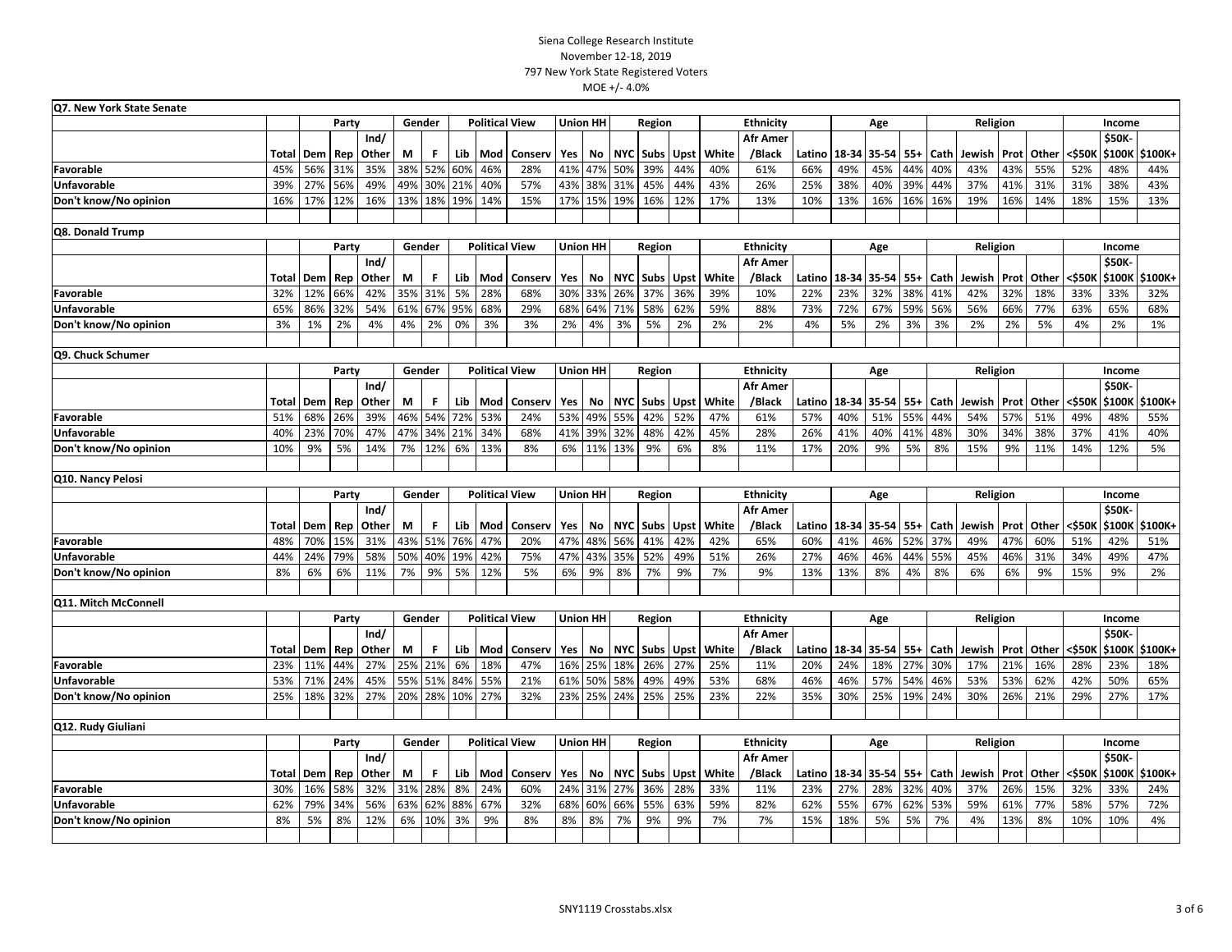| Q7. New York State Senate |                                  |           |            |               |        |        |     |     |                       |     |                 |            |                   |             |       |                           |        |                |                        |              |          |             |      |                       |               |                  |           |
|---------------------------|----------------------------------|-----------|------------|---------------|--------|--------|-----|-----|-----------------------|-----|-----------------|------------|-------------------|-------------|-------|---------------------------|--------|----------------|------------------------|--------------|----------|-------------|------|-----------------------|---------------|------------------|-----------|
|                           |                                  |           | Party      |               |        | Gender |     |     | <b>Political View</b> |     | <b>Union HH</b> |            | Region            |             |       | <b>Ethnicity</b>          |        |                | Age                    |              |          | Religion    |      |                       |               | Income           |           |
|                           | Rep<br>Other<br><b>Total Dem</b> |           |            | Ind/          | М      | F.     | Lib | Mod | Conserv               | Yes | No              |            | NYC   Subs   Upst |             | White | <b>Afr Amer</b><br>/Black |        | Latino   18-34 | 35-54                  | $55+$        | Cath     | Jewish Prot |      | Other                 | <\$50K        | \$50K<br>\$100K  | \$100K+   |
| Favorable                 | 45%                              | 56%       | 31%        | 35%           | 38%    | 52%    | 60% | 46% | 28%                   | 41% | 47%             | 50%        | 39%               | 44%         | 40%   | 61%                       | 66%    | 49%            | 45%                    | 44%          | 40%      | 43%         | 43%  | 55%                   | 52%           | 48%              | 44%       |
| <b>Unfavorable</b>        | 39%                              | 27%       | 56%        | 49%           | 49%    | 30%    | 21% | 40% | 57%                   | 43% | 38%             | 31%        | 45%               | 44%         | 43%   | 26%                       | 25%    | 38%            | 40%                    | 39%          | 44%      | 37%         | 41%  | 31%                   | 31%           | 38%              | 43%       |
| Don't know/No opinion     | 16%                              | 17%       | 12%        | 16%           | 13%    | 18%    | 19% | 14% | 15%                   | 17% | 15%             | 19%        | 16%               | 12%         | 17%   | 13%                       | 10%    | 13%            | 16%                    | 16%          | 16%      | 19%         | 16%  | 14%                   | 18%           | 15%              | 13%       |
| Q8. Donald Trump          |                                  |           |            |               |        |        |     |     |                       |     |                 |            |                   |             |       |                           |        |                |                        |              |          |             |      |                       |               |                  |           |
|                           |                                  |           | Party      |               | Gender |        |     |     | <b>Political View</b> |     | <b>Union HH</b> |            | Region            |             |       | <b>Ethnicity</b>          |        |                | Age                    |              |          | Religion    |      |                       |               | Income           |           |
|                           |                                  |           |            | Ind/          |        |        |     |     |                       |     |                 |            |                   |             |       | <b>Afr Amer</b>           |        |                |                        |              |          |             |      |                       |               | \$50K-           |           |
|                           | Total                            | Dem       | Rep        | Other         | М      | F      | Lib | Mod | Conserv               | Yes | No              |            | NYC Subs          | Upst        | White | /Black                    |        | Latino   18-34 | 35-54                  | $55+$        | Cath     | Jewish      |      | <b>Prot</b> Other     | <\$50K        | \$100K           | \$100K+   |
| Favorable                 | 32%                              | 12%       | 66%        | 42%           | 35%    | 31%    | 5%  | 28% | 68%                   | 30% | 33%             | 26%        | 37%               | 36%         | 39%   | 10%                       | 22%    | 23%            | 32%                    | 38%          | 41%      | 42%         | 32%  | 18%                   | 33%           | 33%              | 32%       |
| <b>Unfavorable</b>        | 65%                              | 86%       | 32%        | 54%           | 61%    | 67%    | 95% | 68% | 29%                   | 68% | 64%             | 71%        | 58%               | 62%         | 59%   | 88%                       | 73%    | 72%            | 67%                    | 59%          | 56%      | 56%         | 66%  | 77%                   | 63%           | 65%              | 68%       |
| Don't know/No opinion     | 3%                               | 1%        | 2%         | 4%            | 4%     | 2%     | 0%  | 3%  | 3%                    | 2%  | 4%              | 3%         | 5%                | 2%          | 2%    | 2%                        | 4%     | 5%             | 2%                     | 3%           | 3%       | 2%          | 2%   | 5%                    | 4%            | 2%               | 1%        |
| Q9. Chuck Schumer         |                                  |           |            |               |        |        |     |     |                       |     |                 |            |                   |             |       |                           |        |                |                        |              |          |             |      |                       |               |                  |           |
|                           |                                  |           | Party      |               | Gender |        |     |     | <b>Political View</b> |     | <b>Union HH</b> |            | Region            |             |       | Ethnicity                 |        |                | Age                    |              |          | Religion    |      |                       |               | Income           |           |
|                           | Totall                           | Dem       |            | Ind/<br>Other | М      | F      | Lib | Mod | Conserv               | Yes | No              |            | NYC   Subs        | <b>Upst</b> | White | <b>Afr Amer</b><br>/Black |        | Latino   18-34 | 35-54                  |              | Cath     | Jewish      |      | Prot Other            |               | \$50K-<br>\$100K | \$100K+   |
| Favorable                 | 51%                              | 68%       | Rep<br>26% | 39%           | 46%    | 54%    | 72% | 53% | 24%                   | 53% | 49%             | 55%        | 42%               | 52%         | 47%   | 61%                       | 57%    | 40%            | 51%                    | $55+$<br>55% | 44%      | 54%         | 57%  | 51%                   | <\$50к<br>49% | 48%              | 55%       |
|                           |                                  |           | 70%        | 47%           | 47%    | 34%    | 21% | 34% | 68%                   | 41% | 39%             |            |                   | 42%         | 45%   | 28%                       | 26%    | 41%            | 40%                    |              | 48%      |             | 34%  | 38%                   |               | 41%              |           |
| Unfavorable               | 40%<br>10%                       | 23%<br>9% | 5%         | 14%           | 7%     | 12%    | 6%  | 13% | 8%                    | 6%  | 11%             | 32%<br>13% | 48%<br>9%         | 6%          | 8%    | 11%                       | 17%    | 20%            | 9%                     | 41%          | 8%       | 30%<br>15%  | 9%   | 11%                   | 37%<br>14%    | 12%              | 40%<br>5% |
| Don't know/No opinion     |                                  |           |            |               |        |        |     |     |                       |     |                 |            |                   |             |       |                           |        |                |                        | 5%           |          |             |      |                       |               |                  |           |
| Q10. Nancy Pelosi         |                                  |           |            |               |        |        |     |     |                       |     |                 |            |                   |             |       |                           |        |                |                        |              |          |             |      |                       |               |                  |           |
|                           |                                  |           | Party      |               | Gender |        |     |     | <b>Political View</b> |     | <b>Union HH</b> | Region     |                   |             |       | Ethnicity                 |        | Age            |                        |              | Religion |             |      |                       | Income        |                  |           |
|                           | Total                            | Dem       | Rep        | Ind/<br>Other | M      | F      | Lib | Mod | Conserv               | Yes | No              | <b>NYC</b> | Subs              | Upst        | White | <b>Afr Amer</b><br>/Black | Latino | 18-34          | 35-54                  | $55+$        | Cath     | Jewish      | Prot | Other                 | <\$50k        | \$50K-<br>\$100K | \$100K+   |
| Favorable                 | 48%                              | 70%       | 15%        | 31%           | 43%    | 51%    | 76% | 47% | 20%                   | 47% | 48%             | 56%        | 41%               | 42%         | 42%   | 65%                       | 60%    | 41%            | 46%                    | 52%          | 37%      | 49%         | 47%  | 60%                   | 51%           | 42%              | 51%       |
| <b>Unfavorable</b>        | 44%                              | 24%       | 79%        | 58%           | 50%    | 40%    | 19% | 42% | 75%                   | 47% | 43%             | 35%        | 52%               | 49%         | 51%   | 26%                       | 27%    | 46%            | 46%                    | 44%          | 55%      | 45%         | 46%  | 31%                   | 34%           | 49%              | 47%       |
| Don't know/No opinion     | 8%                               | 6%        | 6%         | 11%           | 7%     | 9%     | 5%  | 12% | 5%                    | 6%  | 9%              | 8%         | 7%                | 9%          | 7%    | 9%                        | 13%    | 13%            | 8%                     | 4%           | 8%       | 6%          | 6%   | 9%                    | 15%           | 9%               | 2%        |
| Q11. Mitch McConnell      |                                  |           |            |               |        |        |     |     |                       |     |                 |            |                   |             |       |                           |        |                |                        |              |          |             |      |                       |               |                  |           |
|                           |                                  |           | Party      |               | Gender |        |     |     | <b>Political View</b> |     | <b>Union HH</b> |            | Region            |             |       | Ethnicity                 |        |                | Age                    |              |          | Religion    |      |                       |               | Income           |           |
|                           |                                  |           |            | Ind/          |        |        |     |     |                       |     |                 |            |                   |             |       | <b>Afr Amer</b>           |        |                |                        |              |          |             |      |                       |               | \$50K            |           |
|                           | Total                            | Dem       | Rep        | Other         | М      | F.     | Lib | Mod | Conserv               | Yes | No              |            | NYC Subs Upst     |             | White | /Black                    |        |                | Latino   18-34   35-54 | $55+$        | Cath     |             |      | Jewish   Prot   Other | <\$50K        | \$100K           | \$100K+   |
| Favorable                 | 23%                              | 11%       | 44%        | 27%           | 25%    | 21%    | 6%  | 18% | 47%                   | 16% | 25%             | 18%        | 26%               | 27%         | 25%   | 11%                       | 20%    | 24%            | 18%                    | 27%          | 30%      | 17%         | 21%  | 16%                   | 28%           | 23%              | 18%       |
| <b>Unfavorable</b>        | 53%                              | 71%       | 24%        | 45%           | 55%    | 51%    | 84% | 55% | 21%                   | 61% | 50%             | 58%        | 49%               | 49%         | 53%   | 68%                       | 46%    | 46%            | 57%                    | 54%          | 46%      | 53%         | 53%  | 62%                   | 42%           | 50%              | 65%       |
| Don't know/No opinion     | 25%                              | 18%       | 32%        | 27%           | 20%    | 28%    | 10% | 27% | 32%                   | 23% | 25%             | 24%        | 25%               | 25%         | 23%   | 22%                       | 35%    | 30%            | 25%                    | 19%          | 24%      | 30%         | 26%  | 21%                   | 29%           | 27%              | 17%       |
| Q12. Rudy Giuliani        |                                  |           |            |               |        |        |     |     |                       |     |                 |            |                   |             |       |                           |        |                |                        |              |          |             |      |                       |               |                  |           |
|                           |                                  |           | Party      | Gender        |        |        |     |     | <b>Political View</b> |     | <b>Union HH</b> |            | Region            |             |       | <b>Ethnicity</b>          |        |                | Age                    |              |          | Religion    |      |                       |               | Income           |           |
|                           | Total                            | Dem       | Rep        | Ind/<br>Other | М      | F.     | Lib | Mod | Conserv               | Yes | No              | NYC        | Subs              | Upst        | White | <b>Afr Amer</b><br>/Black | Latino |                | 18-34 35-54            | $55+$        | Cath     | Jewish      |      | <b>Prot Other</b>     | <\$50K        | \$50K-<br>\$100K | \$100K+   |
| Favorable                 | 30%                              | 16%       | 58%        | 32%           | 31%    | 28%    | 8%  | 24% | 60%                   | 24% | 31%             | 27%        | 36%               | 28%         | 33%   | 11%                       | 23%    | 27%            | 28%                    | 32%          | 40%      | 37%         | 26%  | 15%                   | 32%           | 33%              | 24%       |
| Unfavorable               | 62%                              | 79%       | 34%        | 56%           | 63%    | 62%    | 88% | 67% | 32%                   | 68% | 60%             | 66%        | 55%               | 63%         | 59%   | 82%                       | 62%    | 55%            | 67%                    | 62%          | 53%      | 59%         | 61%  | 77%                   | 58%           | 57%              | 72%       |
| Don't know/No opinion     | 8%                               | 5%        | 8%         | 12%           | 6%     | 10%    | 3%  | 9%  | 8%                    | 8%  | 8%              | 7%         | 9%                | 9%          | 7%    | 7%                        | 15%    | 18%            | 5%                     | 5%           | 7%       | 4%          | 13%  | 8%                    | 10%           | 10%              | 4%        |
|                           |                                  |           |            |               |        |        |     |     |                       |     |                 |            |                   |             |       |                           |        |                |                        |              |          |             |      |                       |               |                  |           |
|                           |                                  |           |            |               |        |        |     |     |                       |     |                 |            |                   |             |       |                           |        |                |                        |              |          |             |      |                       |               |                  |           |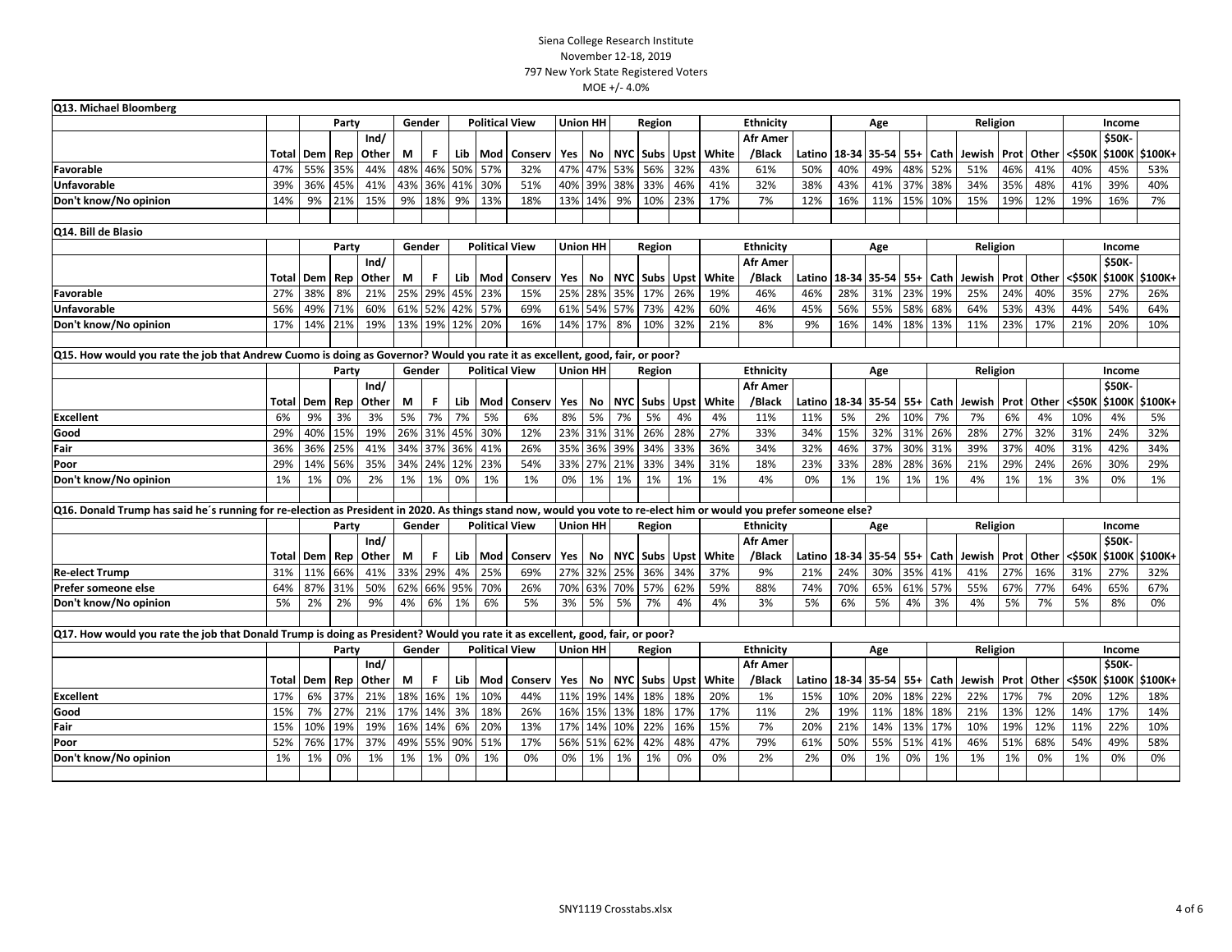| Q13. Michael Bloomberg                                                                                                                                              |       |                  |       |       |        |        |     |                       |                       |                 |         |            |               |      |                  |                  |        |     |                              |         |             |                   |      |                   |        |               |         |
|---------------------------------------------------------------------------------------------------------------------------------------------------------------------|-------|------------------|-------|-------|--------|--------|-----|-----------------------|-----------------------|-----------------|---------|------------|---------------|------|------------------|------------------|--------|-----|------------------------------|---------|-------------|-------------------|------|-------------------|--------|---------------|---------|
|                                                                                                                                                                     |       |                  | Party |       | Gender |        |     | <b>Political View</b> |                       | <b>Union HH</b> |         | Region     |               |      | <b>Ethnicity</b> |                  |        |     | Age                          |         |             | Religion          |      |                   |        | Income        |         |
|                                                                                                                                                                     |       |                  |       | Ind/  |        |        |     |                       |                       |                 |         |            |               |      |                  | <b>Afr Amer</b>  |        |     |                              |         |             |                   |      |                   |        | \$50K-        |         |
|                                                                                                                                                                     |       | <b>Total Dem</b> | Rep   | Other | М      | F.     |     | Lib   Mod             | Conserv               | Yes             | No      |            | NYC Subs      | Upst | White            | /Black           | Latino |     | 18-34 35-54                  | $55+$   | <b>Cath</b> | Jewish            |      | <b>Prot</b> Other | <\$50k | \$100K        | \$100K+ |
| Favorable                                                                                                                                                           | 47%   | 55%              | 35%   | 44%   | 48%    | 46%    | 50% | 57%                   | 32%                   | 47%             | 47%     | 53%        | 56%           | 32%  | 43%              | 61%              | 50%    | 40% | 49%                          | 48%     | 52%         | 51%               | 46%  | 41%               | 40%    | 45%           | 53%     |
| <b>Unfavorable</b>                                                                                                                                                  | 39%   | 36%              | 45%   | 41%   | 43%    | 36%    | 41% | 30%                   | 51%                   | 40%             | 39%     | 38%        | 33%           | 46%  | 41%              | 32%              | 38%    | 43% | 41%                          | 37%     | 38%         | 34%               | 35%  | 48%               | 41%    | 39%           | 40%     |
| Don't know/No opinion                                                                                                                                               | 14%   | 9%               | 21%   | 15%   | 9%     | 18%    | 9%  | 13%                   | 18%                   | 13%             | 14%     | 9%         | 10%           | 23%  | 17%              | 7%               | 12%    | 16% | 11%                          | 15% 10% |             | 15%               | 19%  | 12%               | 19%    | 16%           | 7%      |
|                                                                                                                                                                     |       |                  |       |       |        |        |     |                       |                       |                 |         |            |               |      |                  |                  |        |     |                              |         |             |                   |      |                   |        |               |         |
| Q14. Bill de Blasio                                                                                                                                                 |       |                  |       |       |        |        |     |                       |                       |                 |         |            |               |      |                  |                  |        |     |                              |         |             |                   |      |                   |        |               |         |
|                                                                                                                                                                     |       |                  | Party |       | Gender |        |     | <b>Political View</b> |                       | <b>Union HH</b> |         |            | Region        |      |                  | Ethnicity        |        |     | Age                          |         |             | Religion          |      |                   |        | Income        |         |
|                                                                                                                                                                     |       |                  |       | Ind/  |        |        |     |                       |                       |                 |         |            |               |      |                  | <b>Afr Amer</b>  |        |     |                              |         |             |                   |      |                   |        | \$50K-        |         |
|                                                                                                                                                                     | Total | Dem              | Rep   | Other | M      | F.     |     | Lib   Mod             | Conserv               | Yes             | No      |            | NYC Subs Upst |      | White            | /Black           | Latino |     | 18-34 35-54 55+ Cath         |         |             | Jewish Prot       |      | Other             | <\$50K | \$100K        | \$100K+ |
| Favorable                                                                                                                                                           | 27%   | 38%              | 8%    | 21%   | 25%    | 29%    | 45% | 23%                   | 15%                   | 25%             | 28%     | 35%        | 17%           | 26%  | 19%              | 46%              | 46%    | 28% | 31%                          | 23%     | 19%         | 25%               | 24%  | 40%               | 35%    | 27%           | 26%     |
| <b>Unfavorable</b>                                                                                                                                                  | 56%   | 49%              | 71%   | 60%   | 61%    | 52%    | 42% | 57%                   | 69%                   | 61%             | 54% 57% |            | 73%           | 42%  | 60%              | 46%              | 45%    | 56% | 55%                          | 58%     | 68%         | 64%               | 53%  | 43%               | 44%    | 54%           | 64%     |
| Don't know/No opinion                                                                                                                                               | 17%   | 14%              | 21%   | 19%   | 13%    | 19%    | 12% | 20%                   | 16%                   | 14%             | 17%     | 8%         | 10%           | 32%  | 21%              | 8%               | 9%     | 16% | 14%                          | 18%     | 13%         | 11%               | 23%  | 17%               | 21%    | 20%           | 10%     |
|                                                                                                                                                                     |       |                  |       |       |        |        |     |                       |                       |                 |         |            |               |      |                  |                  |        |     |                              |         |             |                   |      |                   |        |               |         |
| Q15. How would you rate the job that Andrew Cuomo is doing as Governor? Would you rate it as excellent, good, fair, or poor?                                        |       |                  |       |       |        |        |     |                       |                       |                 |         |            |               |      |                  |                  |        |     |                              |         |             |                   |      |                   |        |               |         |
|                                                                                                                                                                     |       |                  | Party |       | Gender |        |     | <b>Political View</b> |                       | <b>Union HH</b> |         | Region     |               |      |                  | <b>Ethnicity</b> |        |     | Age                          |         |             | Religion          |      |                   |        | Income        |         |
|                                                                                                                                                                     |       |                  |       | Ind/  |        |        |     |                       |                       |                 |         |            |               |      |                  | <b>Afr Amer</b>  |        |     |                              |         |             |                   |      |                   |        | <b>\$50K-</b> |         |
|                                                                                                                                                                     | Total | Dem              | Rep   | Other | М      | F.     |     | Lib   Mod             | Conserv               | Yes             | No      | <b>NYC</b> | <b>Subs</b>   | Upst | White            | /Black           | Latino |     | 18-34 35-54                  | $55+$   | Cath        | Jewish            | Prot | Other             | <\$50k | \$100K        | \$100K+ |
| Excellent                                                                                                                                                           | 6%    | 9%               | 3%    | 3%    | 5%     | 7%     | 7%  | 5%                    | 6%                    | 8%              | 5%      | 7%         | 5%            | 4%   | 4%               | 11%              | 11%    | 5%  | 2%                           | 10%     | 7%          | 7%                | 6%   | 4%                | 10%    | 4%            | 5%      |
| Good                                                                                                                                                                | 29%   | 40%              | 15%   | 19%   | 26%    | 31%    | 45% | 30%                   | 12%                   | 23%             | 31%     | 31%        | 26%           | 28%  | 27%              | 33%              | 34%    | 15% | 32%                          | 31%     | 26%         | 28%               | 27%  | 32%               | 31%    | 24%           | 32%     |
| Fair                                                                                                                                                                | 36%   | 36%              | 25%   | 41%   | 34%    | 37%    | 36% | 41%                   | 26%                   | 35%             | 36%     | 39%        | 34%           | 33%  | 36%              | 34%              | 32%    | 46% | 37%                          | 30%     | 31%         | 39%               | 37%  | 40%               | 31%    | 42%           | 34%     |
| Poor                                                                                                                                                                | 29%   | 14%              | 56%   | 35%   | 34%    | 24%    | 12% | 23%                   | 54%                   | 33%             | 27%     | 21%        | 33%           | 34%  | 31%              | 18%              | 23%    | 33% | 28%                          | 28%     | 36%         | 21%               | 29%  | 24%               | 26%    | 30%           | 29%     |
| Don't know/No opinion                                                                                                                                               | 1%    | 1%               | 0%    | 2%    | 1%     | 1%     | 0%  | 1%                    | 1%                    | 0%              | 1%      | 1%         | 1%            | 1%   | 1%               | 4%               | 0%     | 1%  | 1%                           | 1%      | 1%          | 4%                | 1%   | 1%                | 3%     | 0%            | 1%      |
|                                                                                                                                                                     |       |                  |       |       |        |        |     |                       |                       |                 |         |            |               |      |                  |                  |        |     |                              |         |             |                   |      |                   |        |               |         |
| Q16. Donald Trump has said he's running for re-election as President in 2020. As things stand now, would you vote to re-elect him or would you prefer someone else? |       |                  |       |       |        |        |     |                       |                       |                 |         |            |               |      |                  |                  |        |     |                              |         |             |                   |      |                   |        |               |         |
|                                                                                                                                                                     |       |                  | Party |       |        | Gender |     | <b>Political View</b> |                       | <b>Union HH</b> |         |            | Region        |      |                  | <b>Ethnicity</b> |        |     | Age                          |         |             | Religion          |      |                   |        | Income        |         |
|                                                                                                                                                                     |       |                  |       | Ind/  |        |        |     |                       |                       |                 |         |            |               |      |                  | <b>Afr Amer</b>  |        |     |                              |         |             |                   |      |                   |        | \$50K-        |         |
|                                                                                                                                                                     |       | <b>Total Dem</b> | Rep   | Other | М      | F.     |     | Lib Mod               | Conserv               | Yes             | No      |            | NYC Subs Upst |      | White            | /Black           | Latino |     | 18-34   35-54   55+   Cath   |         |             | Jewish            |      | <b>Prot</b> Other | <\$50k | \$100K        | \$100K+ |
| <b>Re-elect Trump</b>                                                                                                                                               | 31%   | 11%              | 66%   | 41%   | 33%    | 29%    | 4%  | 25%                   | 69%                   | 27%             | 32%     | 25%        | 36%           | 34%  | 37%              | 9%               | 21%    | 24% | 30%                          | 35%     | 41%         | 41%               | 27%  | 16%               | 31%    | 27%           | 32%     |
| Prefer someone else                                                                                                                                                 | 64%   | 87%              | 31%   | 50%   | 62%    | 66%    | 95% | 70%                   | 26%                   | 70%             | 63%     | 70%        | 57%           | 62%  | 59%              | 88%              | 74%    | 70% | 65%                          | 61% 57% |             | 55%               | 67%  | 77%               | 64%    | 65%           | 67%     |
| Don't know/No opinion                                                                                                                                               | 5%    | 2%               | 2%    | 9%    | 4%     | 6%     | 1%  | 6%                    | 5%                    | 3%              | 5%      | 5%         | 7%            | 4%   | 4%               | 3%               | 5%     | 6%  | 5%                           | 4%      | 3%          | 4%                | 5%   | 7%                | 5%     | 8%            | 0%      |
|                                                                                                                                                                     |       |                  |       |       |        |        |     |                       |                       |                 |         |            |               |      |                  |                  |        |     |                              |         |             |                   |      |                   |        |               |         |
| Q17. How would you rate the job that Donald Trump is doing as President? Would you rate it as excellent, good, fair, or poor?                                       |       |                  |       |       |        |        |     |                       |                       |                 |         |            |               |      |                  |                  |        |     |                              |         |             |                   |      |                   |        |               |         |
|                                                                                                                                                                     |       |                  | Party |       |        | Gender |     |                       | <b>Political View</b> | <b>Union HH</b> |         |            | Region        |      |                  | Ethnicity        |        |     | Age                          |         |             | Religion          |      |                   |        | Income        |         |
|                                                                                                                                                                     |       |                  |       | Ind/  |        |        |     |                       |                       |                 |         |            |               |      |                  | <b>Afr Amer</b>  |        |     |                              |         |             |                   |      |                   |        | \$50K-        |         |
|                                                                                                                                                                     |       | Total Dem        | Rep   | Other | М      | F.     |     | Lib Mod               | Conserv               | Yes             | No      |            | NYC Subs Upst |      | White            | /Black           |        |     | Latino   18-34   35-54   55+ |         | <b>Cath</b> | Jewish Prot Other |      |                   | <\$50K | \$100K        | \$100K+ |
| Excellent                                                                                                                                                           | 17%   | 6%               | 37%   | 21%   | 18%    | 16%    | 1%  | 10%                   | 44%                   | 11%             | 19%     | 14%        | 18%           | 18%  | 20%              | 1%               | 15%    | 10% | 20%                          | 18%     | 22%         | 22%               | 17%  | 7%                | 20%    | 12%           | 18%     |
| Good                                                                                                                                                                | 15%   | 7%               | 27%   | 21%   | 17%    | 14%    | 3%  | 18%                   | 26%                   | 16%             | 15%     | 13%        | 18%           | 17%  | 17%              | 11%              | 2%     | 19% | 11%                          | 18%     | 18%         | 21%               | 13%  | 12%               | 14%    | 17%           | 14%     |
| Fair                                                                                                                                                                | 15%   | 10%              | 19%   | 19%   | 16%    | 14%    | 6%  | 20%                   | 13%                   | 17%             | 14%     | 10%        | 22%           | 16%  | 15%              | 7%               | 20%    | 21% | 14%                          | 13%     | 17%         | 10%               | 19%  | 12%               | 11%    | 22%           | 10%     |
| Poor                                                                                                                                                                | 52%   | 76%              | 17%   | 37%   | 49%    | 55%    | 90% | 51%                   | 17%                   | 56%             | 51%     | 62%        | 42%           | 48%  | 47%              | 79%              | 61%    | 50% | 55%                          | 51%     | 41%         | 46%               | 51%  | 68%               | 54%    | 49%           | 58%     |
| Don't know/No opinion                                                                                                                                               | 1%    | 1%               | 0%    | 1%    | 1%     | 1%     | 0%  | 1%                    | 0%                    | 0%              | 1%      | 1%         | 1%            | 0%   | 0%               | 2%               | 2%     | 0%  | 1%                           | 0%      | 1%          | 1%                | 1%   | 0%                | 1%     | 0%            | 0%      |
|                                                                                                                                                                     |       |                  |       |       |        |        |     |                       |                       |                 |         |            |               |      |                  |                  |        |     |                              |         |             |                   |      |                   |        |               |         |
|                                                                                                                                                                     |       |                  |       |       |        |        |     |                       |                       |                 |         |            |               |      |                  |                  |        |     |                              |         |             |                   |      |                   |        |               |         |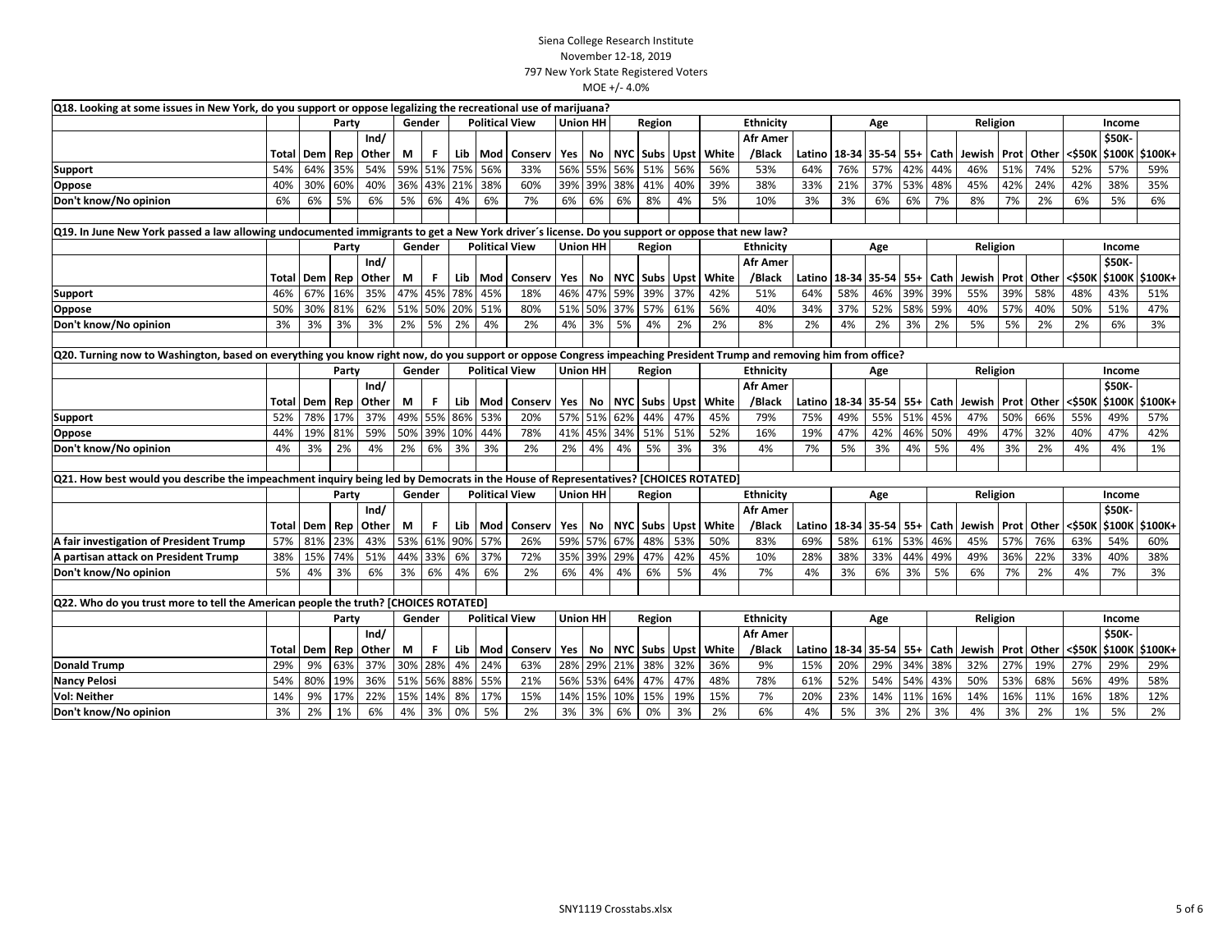| Q18. Looking at some issues in New York, do you support or oppose legalizing the recreational use of marijuana?                                                    |       |           |       |       |         |        |     |     |                       |                           |                 |            |                   |                  |       |                 |                              |     |                 |     |          |               |             |              |        |        |                |
|--------------------------------------------------------------------------------------------------------------------------------------------------------------------|-------|-----------|-------|-------|---------|--------|-----|-----|-----------------------|---------------------------|-----------------|------------|-------------------|------------------|-------|-----------------|------------------------------|-----|-----------------|-----|----------|---------------|-------------|--------------|--------|--------|----------------|
|                                                                                                                                                                    |       |           | Party |       |         | Gender |     |     | <b>Political View</b> |                           | <b>Union HH</b> |            | Region            |                  |       | Ethnicity       |                              |     | Age             |     |          | Religion      |             |              |        | Income |                |
|                                                                                                                                                                    |       |           |       | Ind/  |         |        |     |     |                       |                           |                 |            |                   |                  |       | <b>Afr Amer</b> |                              |     |                 |     |          |               |             |              |        | \$50K- |                |
|                                                                                                                                                                    | Total | Dem       | Rep   | Other | М       | F.     | Lib | Mod | Conserv               | Yes                       | No              |            | NYC Subs          | <b>Upst</b>      | White | /Black          | Latino                       |     | 18-34 35-54 55+ |     | Cath     | Jewish Prot   |             | Other        | <\$50K | \$100K | \$100K+        |
| Support                                                                                                                                                            | 54%   | 64%       | 35%   | 54%   | 59% 51% |        | 75% | 56% | 33%                   | 56%                       | 55%             |            | 56% 51%           | 56%              | 56%   | 53%             | 64%                          | 76% | 57%             | 42% | 44%      | 46%           | 51%         | 74%          | 52%    | 57%    | 59%            |
| Oppose                                                                                                                                                             | 40%   | 30%       | 60%   | 40%   | 36%     | 43%    | 21% | 38% | 60%                   | 39%                       | 39%             |            | 38% 41%           | 40%              | 39%   | 38%             | 33%                          | 21% | 37%             | 53% | 48%      | 45%           | 42%         | 24%          | 42%    | 38%    | 35%            |
| Don't know/No opinion                                                                                                                                              | 6%    | 6%        | 5%    | 6%    | 5%      | 6%     | 4%  | 6%  | 7%                    | 6%                        | 6%              | 6%         | 8%                | 4%               | 5%    | 10%             | 3%                           | 3%  | 6%              | 6%  | 7%       | 8%            | 7%          | 2%           | 6%     | 5%     | 6%             |
|                                                                                                                                                                    |       |           |       |       |         |        |     |     |                       |                           |                 |            |                   |                  |       |                 |                              |     |                 |     |          |               |             |              |        |        |                |
| Q19. In June New York passed a law allowing undocumented immigrants to get a New York driver's license. Do you support or oppose that new law?                     |       |           |       |       |         |        |     |     |                       |                           |                 |            |                   |                  |       |                 |                              |     |                 |     |          |               |             |              |        |        |                |
|                                                                                                                                                                    |       |           | Party |       |         | Gender |     |     | <b>Political View</b> | <b>Union HH</b>           |                 |            | Region            |                  |       | Ethnicity       |                              |     | Age             |     |          | Religion      |             |              |        | Income |                |
|                                                                                                                                                                    |       |           |       | Ind/  |         |        |     |     |                       |                           |                 |            |                   |                  |       | <b>Afr Amer</b> |                              |     |                 |     |          |               |             |              |        | \$50K- |                |
|                                                                                                                                                                    | Total | Dem       | Rep   | Other | М       | F.     | Lib | Mod | Conserv               | Yes                       | No              |            | NYC   Subs   Upst |                  | White | /Black          | Latino                       |     | 18-34 35-54     | 55+ | Cath     | Jewish Prot   |             | Other        | <\$50K | \$100K | \$100K+        |
| <b>Support</b>                                                                                                                                                     | 46%   | 67%       | 16%   | 35%   | 47%     | 45%    | 78% | 45% | 18%                   | 46%                       | 47%             |            | 59% 39%           | 37%              | 42%   | 51%             | 64%                          | 58% | 46%             | 39% | 39%      | 55%           | 39%         | 58%          | 48%    | 43%    | 51%            |
| Oppose                                                                                                                                                             | 50%   | 30%       | 81%   | 62%   | 51% 50% |        | 20% | 51% | 80%                   | 51%                       | 50%             |            | 37% 57%           | 61%              | 56%   | 40%             | 34%                          | 37% | 52%             | 58% | 59%      | 40%           | 57%         | 40%          | 50%    | 51%    | 47%            |
| Don't know/No opinion                                                                                                                                              | 3%    | 3%        | 3%    | 3%    | 2%      | 5%     | 2%  | 4%  | 2%                    | 4%                        | 3%              | 5%         | 4%                | 2%               | 2%    | 8%              | 2%                           | 4%  | 2%              | 3%  | 2%       | 5%            | 5%          | 2%           | 2%     | 6%     | 3%             |
|                                                                                                                                                                    |       |           |       |       |         |        |     |     |                       |                           |                 |            |                   |                  |       |                 |                              |     |                 |     |          |               |             |              |        |        |                |
| Q20. Turning now to Washington, based on everything you know right now, do you support or oppose Congress impeaching President Trump and removing him from office? |       |           |       |       |         |        |     |     |                       |                           |                 |            |                   |                  |       |                 |                              |     |                 |     |          |               |             |              |        |        |                |
|                                                                                                                                                                    |       |           | Party |       |         | Gender |     |     | <b>Political View</b> | <b>Union HH</b><br>Region |                 |            |                   | <b>Ethnicity</b> |       |                 |                              | Age |                 |     | Religion |               |             |              | Income |        |                |
|                                                                                                                                                                    |       |           |       | Ind/  |         |        |     |     |                       |                           |                 |            |                   |                  |       | <b>Afr Amer</b> |                              |     |                 |     |          |               |             |              |        | \$50K- |                |
|                                                                                                                                                                    | Total | Dem       | Rep   | Other | М       | F.     | Lib | Mod | Conserv               | Yes                       | No              | <b>NYC</b> | <b>Subs</b>       | <b>Upst</b>      | White | /Black          | Latino                       |     | 18-34 35-54 55+ |     | Cath     | Jewish        | <b>Prot</b> | Other        | <\$50K | \$100K | \$100K+        |
| Support                                                                                                                                                            | 52%   | 78%       | 17%   | 37%   | 49%     | 55%    | 86% | 53% | 20%                   | 57%                       |                 | 51% 62%    | 44%               | 47%              | 45%   | 79%             | 75%                          | 49% | 55%             | 51% | 45%      | 47%           | 50%         | 66%          | 55%    | 49%    | 57%            |
| Oppose                                                                                                                                                             | 44%   | 19%       | 81%   | 59%   | 50%     | 39%    | 10% | 44% | 78%                   | 41%                       | 45%             | 34%        | 51%               | 51%              | 52%   | 16%             | 19%                          | 47% | 42%             | 46% | 50%      | 49%           | 47%         | 32%          | 40%    | 47%    | 42%            |
| Don't know/No opinion                                                                                                                                              | 4%    | 3%        | 2%    | 4%    | 2%      | 6%     | 3%  | 3%  | 2%                    | 2%                        | 4%              | 4%         | 5%                | 3%               | 3%    | 4%              | 7%                           | 5%  | 3%              | 4%  | 5%       | 4%            | 3%          | 2%           | 4%     | 4%     | 1%             |
|                                                                                                                                                                    |       |           |       |       |         |        |     |     |                       |                           |                 |            |                   |                  |       |                 |                              |     |                 |     |          |               |             |              |        |        |                |
| Q21. How best would you describe the impeachment inquiry being led by Democrats in the House of Representatives? [CHOICES ROTATED]                                 |       |           |       |       |         |        |     |     |                       |                           |                 |            |                   |                  |       |                 |                              |     |                 |     |          |               |             |              |        |        |                |
|                                                                                                                                                                    |       |           | Party |       |         | Gender |     |     | <b>Political View</b> |                           | <b>Union HH</b> |            | Region            |                  |       | Ethnicity       |                              |     | Age             |     |          | Religion      |             |              |        | Income |                |
|                                                                                                                                                                    |       |           |       | Ind/  |         |        |     |     |                       |                           |                 |            |                   |                  |       | <b>Afr Amer</b> |                              |     |                 |     |          |               |             |              |        | \$50K- |                |
|                                                                                                                                                                    |       | Total Dem | Rep   | Other | М       | F.     | Lib | Mod | Conserv               | Yes                       | No              |            | NYC Subs Upst     |                  | White | /Black          | Latino                       |     | 18-34 35-54 55+ |     | Cath     | Jewish Prot   |             | <b>Other</b> | <\$50K |        | \$100K \$100K+ |
| A fair investigation of President Trump                                                                                                                            | 57%   | 81%       | 23%   | 43%   | 53%     | 61%    | 90% | 57% | 26%                   | 59%                       | 57%             | 67%        | 48%               | 53%              | 50%   | 83%             | 69%                          | 58% | 61%             | 53% | 46%      | 45%           | 57%         | 76%          | 63%    | 54%    | 60%            |
| A partisan attack on President Trump                                                                                                                               | 38%   | 15%       | 74%   | 51%   | 44% 33% |        | 6%  | 37% | 72%                   | 35%                       | 39%             | 29%        | 47%               | 42%              | 45%   | 10%             | 28%                          | 38% | 33%             | 44% | 49%      | 49%           | 36%         | 22%          | 33%    | 40%    | 38%            |
| Don't know/No opinion                                                                                                                                              | 5%    | 4%        | 3%    | 6%    | 3%      | 6%     | 4%  | 6%  | 2%                    | 6%                        | 4%              | 4%         | 6%                | 5%               | 4%    | 7%              | 4%                           | 3%  | 6%              | 3%  | 5%       | 6%            | 7%          | 2%           | 4%     | 7%     | 3%             |
|                                                                                                                                                                    |       |           |       |       |         |        |     |     |                       |                           |                 |            |                   |                  |       |                 |                              |     |                 |     |          |               |             |              |        |        |                |
| Q22. Who do you trust more to tell the American people the truth? [CHOICES ROTATED]                                                                                |       |           |       |       |         |        |     |     |                       |                           |                 |            |                   |                  |       |                 |                              |     |                 |     |          |               |             |              |        |        |                |
|                                                                                                                                                                    |       |           | Party |       |         | Gender |     |     | <b>Political View</b> | <b>Union HH</b>           |                 |            | Region            |                  |       | Ethnicity       |                              |     | Age             |     |          | Religion      |             |              |        | Income |                |
|                                                                                                                                                                    |       |           |       | Ind/  |         |        |     |     |                       |                           |                 |            |                   |                  |       | <b>Afr Amer</b> |                              |     |                 |     |          |               |             |              |        | \$50K- |                |
|                                                                                                                                                                    |       | Total Dem | Rep   | Other | М       | F.     | Lib | Mod | Conserv               | Yes                       | No              |            | NYC Subs          | <b>Upst</b>      | White | /Black          | Latino   18-34   35-54   55+ |     |                 |     | Cath     | Jewish   Prot |             | Other        | <\$50K | \$100K | \$100K+        |
| <b>Donald Trump</b>                                                                                                                                                | 29%   | 9%        | 63%   | 37%   | 30%     | 28%    | 4%  | 24% | 63%                   | 28%                       | 29%             |            | 21% 38%           | 32%              | 36%   | 9%              | 15%                          | 20% | 29% 34%         |     | 38%      | 32%           | 27%         | 19%          | 27%    | 29%    | 29%            |
| <b>Nancy Pelosi</b>                                                                                                                                                | 54%   | 80%       | 19%   | 36%   | 51% 56% |        | 88% | 55% | 21%                   | 56%                       |                 |            | 53% 64% 47%       | 47%              | 48%   | 78%             | 61%                          | 52% | 54%             | 54% | 43%      | 50%           | 53%         | 68%          | 56%    | 49%    | 58%            |
| <b>Vol: Neither</b>                                                                                                                                                | 14%   | 9%        | 17%   | 22%   | 15%     | 14%    | 8%  | 17% | 15%                   | 14%                       | 15%             | 10%        | 15%               | 19%              | 15%   | 7%              | 20%                          | 23% | 14%             | 11% | 16%      | 14%           | 16%         | 11%          | 16%    | 18%    | 12%            |
| Don't know/No opinion                                                                                                                                              | 3%    | 2%        | 1%    | 6%    | 4%      | 3%     | 0%  | 5%  | 2%                    | 3%                        | 3%              | 6%         | 0%                | 3%               | 2%    | 6%              | 4%                           | 5%  | 3%              | 2%  | 3%       | 4%            | 3%          | 2%           | 1%     | 5%     | 2%             |
|                                                                                                                                                                    |       |           |       |       |         |        |     |     |                       |                           |                 |            |                   |                  |       |                 |                              |     |                 |     |          |               |             |              |        |        |                |